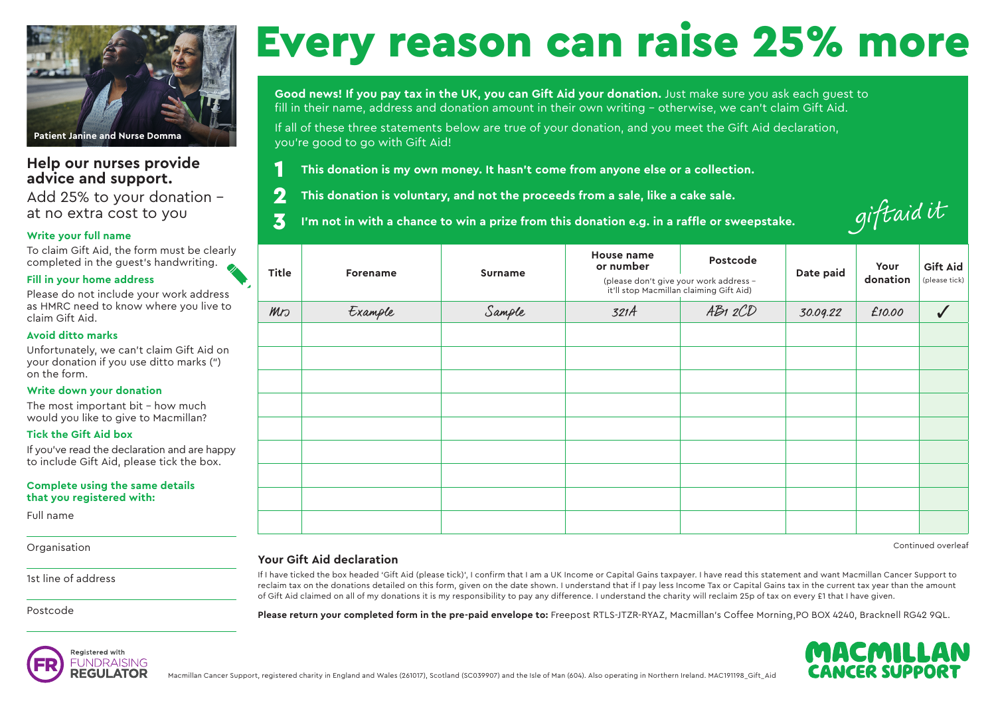

# **Help our nurses provide advice and support.**

Add 25% to your donation - at no extra cost to you

## **Write your full name**

To claim Gift Aid, the form must be clearly completed in the guest's handwriting.

## **Fill in your home address**

Please do not include your work address as HMRC need to know where you live to claim Gift Aid.

## **Avoid ditto marks**

Unfortunately, we can't claim Gift Aid on your donation if you use ditto marks (") on the form.

## **Write down your donation**

The most important bit – how much would you like to give to Macmillan?

### **Tick the Gift Aid box**

If you've read the declaration and are happy to include Gift Aid, please tick the box.

#### **Complete using the same details that you registered with:**

Full name

**Organisation** 

1st line of address

Postcode

# Every reason can raise 25% more

**Good news! If you pay tax in the UK, you can Gift Aid your donation.** Just make sure you ask each guest to fill in their name, address and donation amount in their own writing – otherwise, we can't claim Gift Aid.

If all of these three statements below are true of your donation, and you meet the Gift Aid declaration, you're good to go with Gift Aid!

**This donation is my own money. It hasn't come from anyone else or a collection.**

**This donation is voluntary, and not the proceeds from a sale, like a cake sale.** 2

**I'm not in with a chance to win a prize from this donation e.g. in a raffle or sweepstake.**  3

| giftaidit |  |
|-----------|--|
|           |  |

| Title | <b>Forename</b> | <b>Surname</b> | House name<br>or number<br>it'll stop Macmillan claiming Gift Aid) | Postcode<br>(please don't give your work address - | Date paid | Your<br>donation | <b>Gift Aid</b><br>(please tick) |
|-------|-----------------|----------------|--------------------------------------------------------------------|----------------------------------------------------|-----------|------------------|----------------------------------|
| Mn    | Example         | Sample         | 321A                                                               | AB12CD                                             | 30.09.22  | £10.00           |                                  |
|       |                 |                |                                                                    |                                                    |           |                  |                                  |
|       |                 |                |                                                                    |                                                    |           |                  |                                  |
|       |                 |                |                                                                    |                                                    |           |                  |                                  |
|       |                 |                |                                                                    |                                                    |           |                  |                                  |
|       |                 |                |                                                                    |                                                    |           |                  |                                  |
|       |                 |                |                                                                    |                                                    |           |                  |                                  |
|       |                 |                |                                                                    |                                                    |           |                  |                                  |
|       |                 |                |                                                                    |                                                    |           |                  |                                  |
|       |                 |                |                                                                    |                                                    |           |                  |                                  |

Continued overleaf

# **Your Gift Aid declaration**

1

If I have ticked the box headed 'Gift Aid (please tick)', I confirm that I am a UK Income or Capital Gains taxpayer. I have read this statement and want Macmillan Cancer Support to reclaim tax on the donations detailed on this form, given on the date shown. I understand that if I pay less Income Tax or Capital Gains tax in the current tax year than the amount of Gift Aid claimed on all of my donations it is my responsibility to pay any difference. I understand the charity will reclaim 25p of tax on every £1 that I have given.

**Please return your completed form in the pre-paid envelope to:** Freepost RTLS-JTZR-RYAZ, Macmillan's Coffee Morning,PO BOX 4240, Bracknell RG42 9QL.